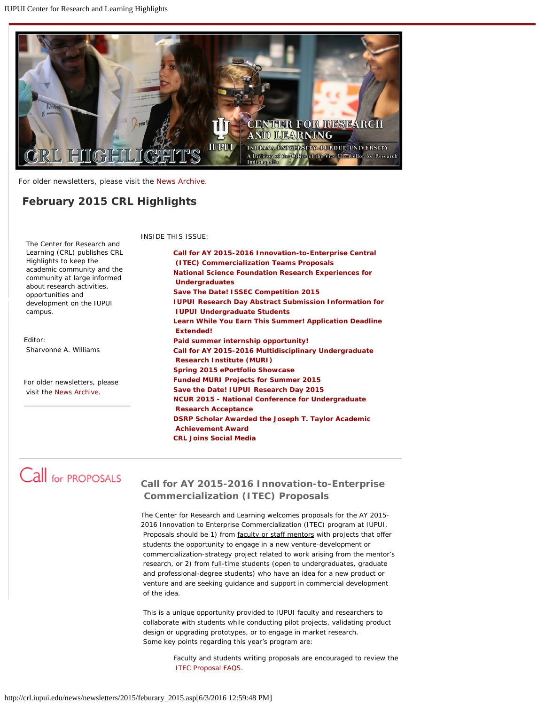<span id="page-0-1"></span>

For older newsletters, please visit the [News Archive](http://crl.iupui.edu/news/archive.asp).

# *February 2015 CRL Highlights*

INSIDE THIS ISSUE:

**[Call for AY 2015-2016 Innovation-to-Enterprise Central](#page-0-0)  [\(ITEC\) Commercialization Teams Proposals](#page-0-0) [National Science Foundation Research Experiences for](#page-1-0)  [Undergraduates](#page-1-0) [Save The Date! ISSEC Competition 2015](#page-1-1)  [IUPUI Research Day Abstract Submission Information for](#page-2-0)  [IUPUI Undergraduate Students](#page-2-0) [Learn While You Earn This Summer! Application Deadline](#page-2-1)  [Extended!](#page-2-1) [Paid summer internship opportunity!](#page-3-0)  [Call for AY 2015-2016 Multidisciplinary Undergraduate](#page-3-1)  [Research Institute \(MURI\)](#page-3-1) [Spring 2015 ePortfolio Showcase](#page-4-0) [Funded MURI Projects for Summer 2015](#page-4-1) [Save the Date! IUPUI Research Day 2015](#page-4-2) [NCUR 2015 - National Conference for Undergraduate](#page-4-3)  [Research Acceptance](#page-4-3) [DSRP Scholar Awarded the Joseph T. Taylor Academic](#page-5-0)  [Achievement Award](#page-5-0) [CRL Joins Social Media](#page-5-1)**

 Learning (CRL) publishes *CRL Highlights* to keep the academic community and the community at large informed about research activities, opportunities and development on the IUPUI campus.

The Center for Research and

Editor: Sharvonne A. Williams

For older newsletters, please visit the [News Archive](http://crl.iupui.edu/news/archive.asp).

# <span id="page-0-0"></span>Call for PROPOSALS

## **Call for AY 2015-2016 Innovation-to-Enterprise Commercialization (ITEC) Proposals**

The Center for Research and Learning welcomes proposals for the AY 2015- 2016 Innovation to Enterprise Commercialization (ITEC) program at IUPUI. Proposals should be 1) from faculty or staff mentors with projects that offer students the opportunity to engage in a new venture-development or commercialization-strategy project related to work arising from the mentor's research, or 2) from full-time students (open to undergraduates, graduate and professional-degree students) who have an idea for a new product or venture and are seeking guidance and support in commercial development of the idea.

This is a unique opportunity provided to IUPUI faculty and researchers to collaborate with students while conducting pilot projects, validating product design or upgrading prototypes, or to engage in market research. Some key points regarding this year's program are:

> Faculty and students writing proposals are encouraged to review the [ITEC Proposal FAQS](http://crl.iupui.edu/programs/I2E/assets/documents/2015_ITEC_Proposal_FAQS.pdf).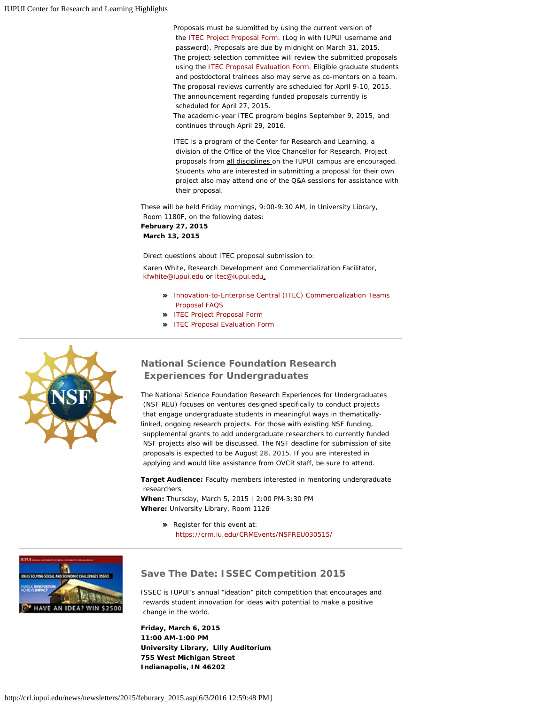Proposals must be submitted by using the current version of the [ITEC Project Proposal Form](http://surveycentral.uc.iupui.edu/itecpropsal2015.aspx). (Log in with IUPUI username and password). Proposals are due by midnight on March 31, 2015. The project-selection committee will review the submitted proposals using the [ITEC Proposal Evaluation Form](http://crl.iupui.edu/programs/I2E/assets/documents/2015_ITEC_Proposal_Evaluation_Form.pdf). Eligible graduate students and postdoctoral trainees also may serve as co-mentors on a team. The proposal reviews currently are scheduled for April 9-10, 2015. The announcement regarding funded proposals currently is scheduled for April 27, 2015. The academic-year ITEC program begins September 9, 2015, and

continues through April 29, 2016.

ITEC is a program of the Center for Research and Learning, a division of the Office of the Vice Chancellor for Research. Project proposals from all disciplines on the IUPUI campus are encouraged. Students who are interested in submitting a proposal for their own project also may attend one of the Q&A sessions for assistance with their proposal.

These will be held Friday mornings, 9:00-9:30 AM, in University Library, Room 1180F, on the following dates: **February 27, 2015**

**March 13, 2015**

Direct questions about ITEC proposal submission to:

Karen White, Research Development and Commercialization Facilitator, [kfwhite@iupui.edu](mailto:emward@iupui.edu) or [itec@iupui.edu](mailto:itec@iupui.edu).

- [Innovation-to-Enterprise Central \(ITEC\) Commercialization Teams](http://crl.iupui.edu/programs/I2E/assets/documents/2015_ITEC_Proposal_FAQS.pdf)  [Proposal FAQS](http://crl.iupui.edu/programs/I2E/assets/documents/2015_ITEC_Proposal_FAQS.pdf)
- **>> [ITEC Project Proposal Form](http://surveycentral.uc.iupui.edu/Login.aspx?s=1214e391-d474-44a1-ae66-e9b2e056a6b0&redirectUrl=%2fSurvey.aspx%3fs%3d1214e391d47444a1ae66e9b2e056a6b0)**
- **>> [ITEC Proposal Evaluation Form](http://crl.iupui.edu/programs/I2E/assets/documents/2015_ITEC_Proposal_Evaluation_Form.pdf)**

<span id="page-1-0"></span>

## **National Science Foundation Research Experiences for Undergraduates**

The National Science Foundation Research Experiences for Undergraduates (NSF REU) focuses on ventures designed specifically to conduct projects that engage undergraduate students in meaningful ways in thematicallylinked, ongoing research projects. For those with existing NSF funding, supplemental grants to add undergraduate researchers to currently funded NSF projects also will be discussed. The NSF deadline for submission of site proposals is expected to be August 28, 2015. If you are interested in applying and would like assistance from OVCR staff, be sure to attend.

**Target Audience:** Faculty members interested in mentoring undergraduate researchers

**When:** Thursday, March 5, 2015 | 2:00 PM-3:30 PM **Where:** University Library, Room 1126

> Register for this event at: <https://crm.iu.edu/CRMEvents/NSFREU030515/>

<span id="page-1-1"></span>

### **Save The Date: ISSEC Competition 2015**

ISSEC is IUPUI's annual "ideation" pitch competition that encourages and rewards student innovation for ideas with potential to make a positive change in the world.

**Friday, March 6, 2015 11:00 AM-1:00 PM University Library, Lilly Auditorium 755 West Michigan Street Indianapolis, IN 46202**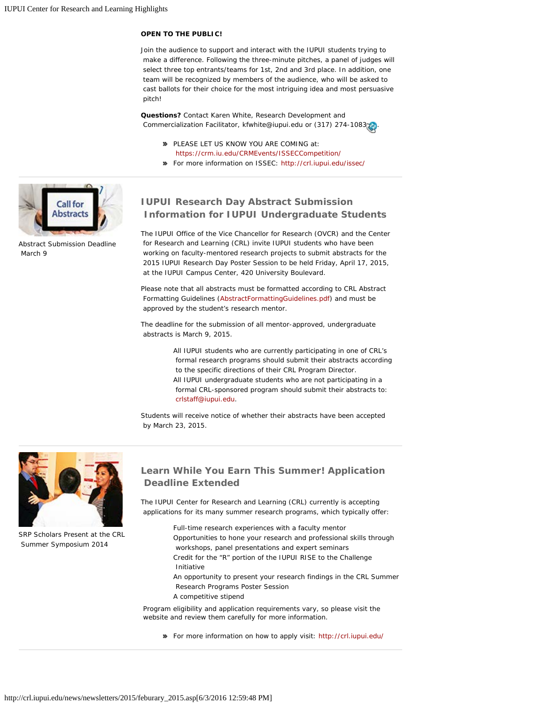### **OPEN TO THE PUBLIC!**

Join the audience to support and interact with the IUPUI students trying to make a difference. Following the three-minute pitches, a panel of judges will select three top entrants/teams for 1st, 2nd and 3rd place. In addition, one team will be recognized by members of the audience, who will be asked to cast ballots for their choice for the most intriguing idea and most persuasive pitch!

**Questions?** Contact Karen White, Research Development and Commercialization Facilitator, kfwhite@iupui[.](#page-0-1)edu or (317) 274-10830.

- **PLEASE LET US KNOW YOU ARE COMING at:** <https://crm.iu.edu/CRMEvents/ISSECCompetition/>
- For more information on ISSEC:<http://crl.iupui.edu/issec/>

<span id="page-2-0"></span>

Abstract Submission Deadline March 9

### **IUPUI Research Day Abstract Submission Information for IUPUI Undergraduate Students**

The IUPUI Office of the Vice Chancellor for Research (OVCR) and the Center for Research and Learning (CRL) invite IUPUI students who have been working on faculty-mentored research projects to submit abstracts for the 2015 IUPUI Research Day Poster Session to be held Friday, April 17, 2015, at the IUPUI Campus Center, 420 University Boulevard.

Please note that all abstracts must be formatted according to CRL Abstract Formatting Guidelines [\(AbstractFormattingGuidelines.pdf](http://crl.iupui.edu/assets/documents/AbstractFormattingGuidelines.pdf)) and must be approved by the student's research mentor.

The deadline for the submission of all mentor-approved, undergraduate abstracts is March 9, 2015.

> All IUPUI students who are currently participating in one of CRL's formal research programs should submit their abstracts according to the specific directions of their CRL Program Director. All IUPUI undergraduate students who are not participating in a formal CRL-sponsored program should submit their abstracts to: [crlstaff@iupui.edu](mailto:crlstaff@iupui.edu).

Students will receive notice of whether their abstracts have been accepted by March 23, 2015.

<span id="page-2-1"></span>

SRP Scholars Present at the CRL Summer Symposium 2014

## **Learn While You Earn This Summer! Application Deadline Extended**

The IUPUI Center for Research and Learning (CRL) currently is accepting applications for its many summer research programs, which typically offer:

- Full-time research experiences with a faculty mentor Opportunities to hone your research and professional skills through workshops, panel presentations and expert seminars Credit for the "R" portion of the IUPUI RISE to the Challenge Initiative
- An opportunity to present your research findings in the CRL Summer Research Programs Poster Session
- A competitive stipend

Program eligibility and application requirements vary, so please visit the website and review them carefully for more information.

For more information on how to apply visit: <http://crl.iupui.edu/>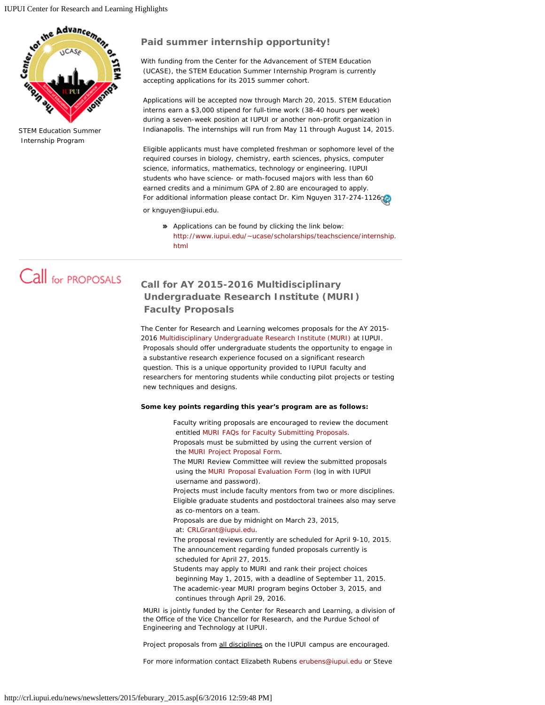<span id="page-3-0"></span>

STEM Education Summer Internship Program

### **Paid summer internship opportunity!**

With funding from the Center for the Advancement of STEM Education (UCASE), the STEM Education Summer Internship Program is currently accepting applications for its 2015 summer cohort.

Applications will be accepted now through March 20, 2015. STEM Education interns earn a \$3,000 stipend for full-time work (38-40 hours per week) during a seven-week position at IUPUI or another non-profit organization in Indianapolis. The internships will run from May 11 through August 14, 2015.

Eligible applicants must have completed freshman or sophomore level of the required courses in biology, chemistry, earth sciences, physics, computer science, informatics, mathematics, technology or engineering. IUPUI students who have science- or math-focused majors with less than 60 earned credits and a minimum GPA of 2.80 are encouraged to apply. For additional information please contact Dr. Kim Nguyen 317-274-112[6](#page-0-1) or knguyen@iupui.edu.

Applications can be found by clicking the link below: [http://www.iupui.edu/~ucase/scholarships/teachscience/internship.](http://www.iupui.edu/~ucase/scholarships/teachscience/internship.html) [html](http://www.iupui.edu/~ucase/scholarships/teachscience/internship.html)

# <span id="page-3-1"></span>Call for PROPOSALS

## **Call for AY 2015-2016 Multidisciplinary Undergraduate Research Institute (MURI) Faculty Proposals**

The Center for Research and Learning welcomes proposals for the AY 2015- 2016 [Multidisciplinary Undergraduate Research Institute \(MURI\)](http://www.crl.iupui.edu/programs/MURI/index.asp) at IUPUI. Proposals should offer undergraduate students the opportunity to engage in a substantive research experience focused on a significant research question. This is a unique opportunity provided to IUPUI faculty and researchers for mentoring students while conducting pilot projects or testing new techniques and designs.

#### **Some key points regarding this year's program are as follows:**

Faculty writing proposals are encouraged to review the document entitled [MURI FAQs for Faculty Submitting Proposals](http://www.crl.iupui.edu/assets/documents/MURI_FAQs_for_Proposals_Revised_1_22_15_v2.docx). Proposals must be submitted by using the current version of the [MURI Project Proposal Form](http://www.crl.iupui.edu/assets/documents/MURI_Project_Proposal_Form_AY2015_2016_v2.docx). The MURI Review Committee will review the submitted proposals using the [MURI Proposal Evaluation Form](https://surveycentral.uc.iupui.edu/muriproposalreview2012SAMPLE.aspx) (log in with IUPUI username and password). Projects must include faculty mentors from two or more disciplines. Eligible graduate students and postdoctoral trainees also may serve as co-mentors on a team. Proposals are due by midnight on March 23, 2015, at: [CRLGrant@iupui.edu](mailto:CRLGrant@iupui.edu). The proposal reviews currently are scheduled for April 9-10, 2015. The announcement regarding funded proposals currently is scheduled for April 27, 2015. Students may apply to MURI and rank their project choices beginning May 1, 2015, with a deadline of September 11, 2015. The academic-year MURI program begins October 3, 2015, and continues through April 29, 2016.

MURI is jointly funded by the Center for Research and Learning, a division of the Office of the Vice Chancellor for Research, and the Purdue School of Engineering and Technology at IUPUI.

Project proposals from all disciplines on the IUPUI campus are encouraged.

For more information contact Elizabeth Rubens [erubens@iupui.edu](mailto:erubens@iupui.edu) or Steve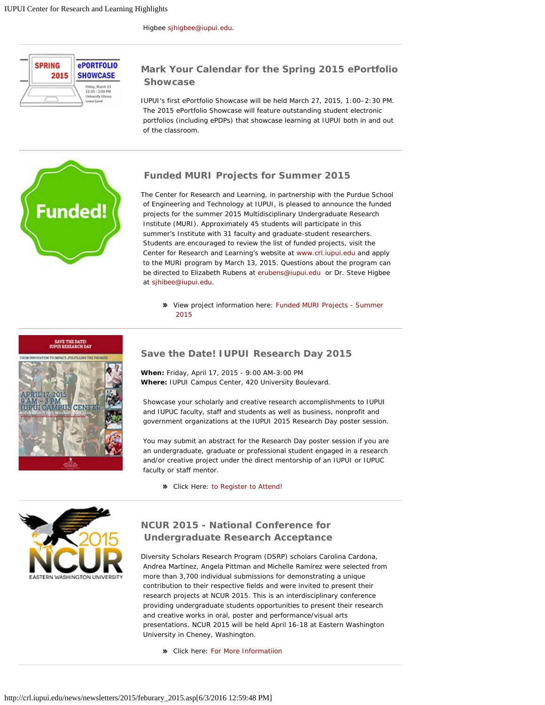<span id="page-4-0"></span>

### **Mark Your Calendar for the Spring 2015 ePortfolio Showcase**

IUPUI's first ePortfolio Showcase will be held March 27, 2015, 1:00–2:30 PM. The 2015 ePortfolio Showcase will feature outstanding student electronic portfolios (including ePDPs) that showcase learning at IUPUI both in and out of the classroom.

<span id="page-4-1"></span>

### **Funded MURI Projects for Summer 2015**

The Center for Research and Learning, in partnership with the Purdue School of Engineering and Technology at IUPUI, is pleased to announce the funded projects for the summer 2015 Multidisciplinary Undergraduate Research Institute (MURI). Approximately 45 students will participate in this summer's Institute with 31 faculty and graduate-student researchers. Students are encouraged to review the list of funded projects, visit the Center for Research and Learning's website at [www.crl.iupui.edu](http://www.crl.iupui.edu/) and apply to the MURI program by March 13, 2015. Questions about the program can be directed to Elizabeth Rubens at [erubens@iupui.edu](mailto:erubens@iupui.edu) or Dr. Steve Higbee at [sjhibee@iupui.edu](mailto:sjhibee@iupui.edu).

View project information here[: Funded MURI Projects - Summer](http://www.crl.iupui.edu/assets/documents/Funded_MURI_ProjectsSummer_2015_v3_ER.docx)  [2015](http://www.crl.iupui.edu/assets/documents/Funded_MURI_ProjectsSummer_2015_v3_ER.docx)

SAVE THE DATE!<br>JUPUI RESEARCH DAY

<span id="page-4-2"></span>

#### **Save the Date! IUPUI Research Day 2015**

**When:** Friday, April 17, 2015 - 9:00 AM-3:00 PM **Where:** IUPUI Campus Center, 420 University Boulevard.

Showcase your scholarly and creative research accomplishments to IUPUI and IUPUC faculty, staff and students as well as business, nonprofit and government organizations at the IUPUI 2015 Research Day poster session.

You may submit an abstract for the Research Day poster session if you are an undergraduate, graduate or professional student engaged in a research and/or creative project under the direct mentorship of an IUPUI or IUPUC faculty or staff mentor.

Click Here: [to Register to Attend!](https://crm.iu.edu/CRMEvents/ResearchDay2015/)

<span id="page-4-3"></span>

## **NCUR 2015 - National Conference for Undergraduate Research Acceptance**

Diversity Scholars Research Program (DSRP) scholars Carolina Cardona, Andrea Martínez, Angela Pittman and Michelle Ramírez were selected from more than 3,700 individual submissions for demonstrating a unique contribution to their respective fields and were invited to present their research projects at NCUR 2015. This is an interdisciplinary conference providing undergraduate students opportunities to present their research and creative works in oral, poster and performance/visual arts presentations. NCUR 2015 will be held April 16-18 at Eastern Washington University in Cheney, Washington.

Click here: [For More Informatiion](http://www.cur.org/ncur_2015/)